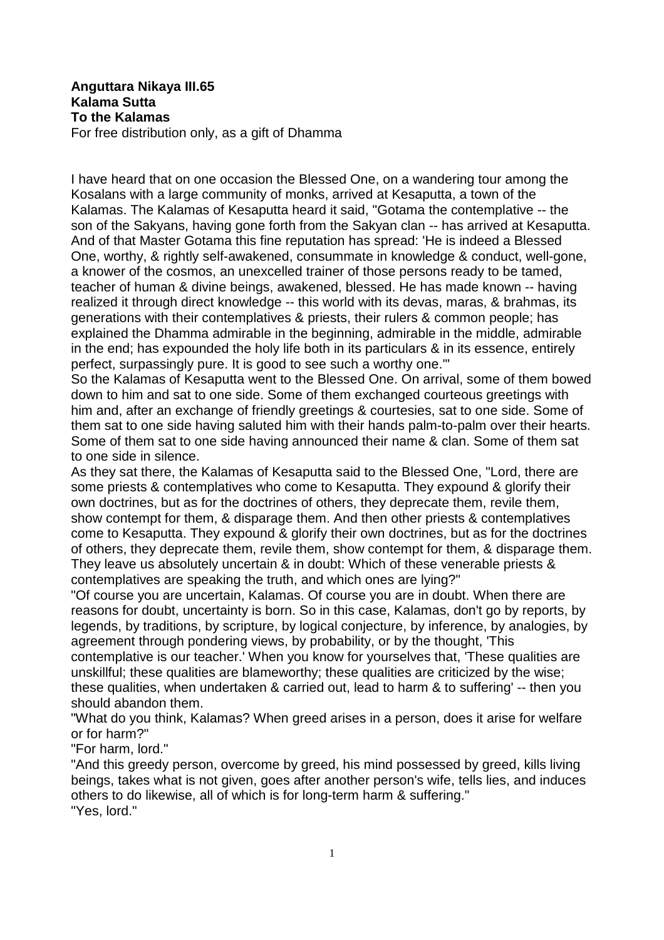## **Anguttara Nikaya III.65 Kalama Sutta To the Kalamas** For free distribution only, as a gift of Dhamma

I have heard that on one occasion the Blessed One, on a wandering tour among the Kosalans with a large community of monks, arrived at Kesaputta, a town of the Kalamas. The Kalamas of Kesaputta heard it said, "Gotama the contemplative -- the son of the Sakyans, having gone forth from the Sakyan clan -- has arrived at Kesaputta. And of that Master Gotama this fine reputation has spread: 'He is indeed a Blessed One, worthy, & rightly self-awakened, consummate in knowledge & conduct, well-gone, a knower of the cosmos, an unexcelled trainer of those persons ready to be tamed, teacher of human & divine beings, awakened, blessed. He has made known -- having realized it through direct knowledge -- this world with its devas, maras, & brahmas, its generations with their contemplatives & priests, their rulers & common people; has explained the Dhamma admirable in the beginning, admirable in the middle, admirable in the end; has expounded the holy life both in its particulars & in its essence, entirely perfect, surpassingly pure. It is good to see such a worthy one.'"

So the Kalamas of Kesaputta went to the Blessed One. On arrival, some of them bowed down to him and sat to one side. Some of them exchanged courteous greetings with him and, after an exchange of friendly greetings & courtesies, sat to one side. Some of them sat to one side having saluted him with their hands palm-to-palm over their hearts. Some of them sat to one side having announced their name & clan. Some of them sat to one side in silence.

As they sat there, the Kalamas of Kesaputta said to the Blessed One, "Lord, there are some priests & contemplatives who come to Kesaputta. They expound & glorify their own doctrines, but as for the doctrines of others, they deprecate them, revile them, show contempt for them, & disparage them. And then other priests & contemplatives come to Kesaputta. They expound & glorify their own doctrines, but as for the doctrines of others, they deprecate them, revile them, show contempt for them, & disparage them. They leave us absolutely uncertain & in doubt: Which of these venerable priests & contemplatives are speaking the truth, and which ones are lying?"

"Of course you are uncertain, Kalamas. Of course you are in doubt. When there are reasons for doubt, uncertainty is born. So in this case, Kalamas, don't go by reports, by legends, by traditions, by scripture, by logical conjecture, by inference, by analogies, by agreement through pondering views, by probability, or by the thought, 'This

contemplative is our teacher.' When you know for yourselves that, 'These qualities are unskillful; these qualities are blameworthy; these qualities are criticized by the wise; these qualities, when undertaken & carried out, lead to harm & to suffering' -- then you should abandon them.

"What do you think, Kalamas? When greed arises in a person, does it arise for welfare or for harm?"

"For harm, lord."

"And this greedy person, overcome by greed, his mind possessed by greed, kills living beings, takes what is not given, goes after another person's wife, tells lies, and induces others to do likewise, all of which is for long-term harm & suffering." "Yes, lord."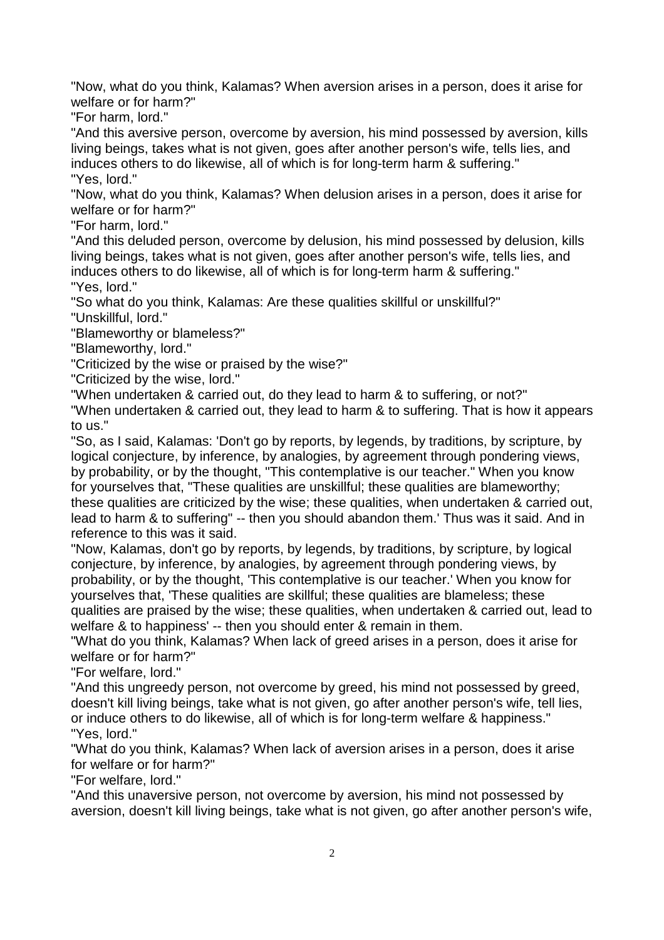"Now, what do you think, Kalamas? When aversion arises in a person, does it arise for welfare or for harm?"

"For harm, lord."

"And this aversive person, overcome by aversion, his mind possessed by aversion, kills living beings, takes what is not given, goes after another person's wife, tells lies, and induces others to do likewise, all of which is for long-term harm & suffering." "Yes, lord."

"Now, what do you think, Kalamas? When delusion arises in a person, does it arise for welfare or for harm?"

"For harm, lord."

"And this deluded person, overcome by delusion, his mind possessed by delusion, kills living beings, takes what is not given, goes after another person's wife, tells lies, and induces others to do likewise, all of which is for long-term harm & suffering." "Yes, lord."

"So what do you think, Kalamas: Are these qualities skillful or unskillful?"

"Unskillful, lord."

"Blameworthy or blameless?"

"Blameworthy, lord."

"Criticized by the wise or praised by the wise?"

"Criticized by the wise, lord."

"When undertaken & carried out, do they lead to harm & to suffering, or not?"

"When undertaken & carried out, they lead to harm & to suffering. That is how it appears to us."

"So, as I said, Kalamas: 'Don't go by reports, by legends, by traditions, by scripture, by logical conjecture, by inference, by analogies, by agreement through pondering views, by probability, or by the thought, "This contemplative is our teacher." When you know for yourselves that, "These qualities are unskillful; these qualities are blameworthy; these qualities are criticized by the wise; these qualities, when undertaken & carried out, lead to harm & to suffering" -- then you should abandon them.' Thus was it said. And in reference to this was it said.

"Now, Kalamas, don't go by reports, by legends, by traditions, by scripture, by logical conjecture, by inference, by analogies, by agreement through pondering views, by probability, or by the thought, 'This contemplative is our teacher.' When you know for yourselves that, 'These qualities are skillful; these qualities are blameless; these qualities are praised by the wise; these qualities, when undertaken & carried out, lead to welfare & to happiness' -- then you should enter & remain in them.

"What do you think, Kalamas? When lack of greed arises in a person, does it arise for welfare or for harm?"

"For welfare, lord."

"And this ungreedy person, not overcome by greed, his mind not possessed by greed, doesn't kill living beings, take what is not given, go after another person's wife, tell lies, or induce others to do likewise, all of which is for long-term welfare & happiness." "Yes, lord."

"What do you think, Kalamas? When lack of aversion arises in a person, does it arise for welfare or for harm?"

"For welfare, lord."

"And this unaversive person, not overcome by aversion, his mind not possessed by aversion, doesn't kill living beings, take what is not given, go after another person's wife,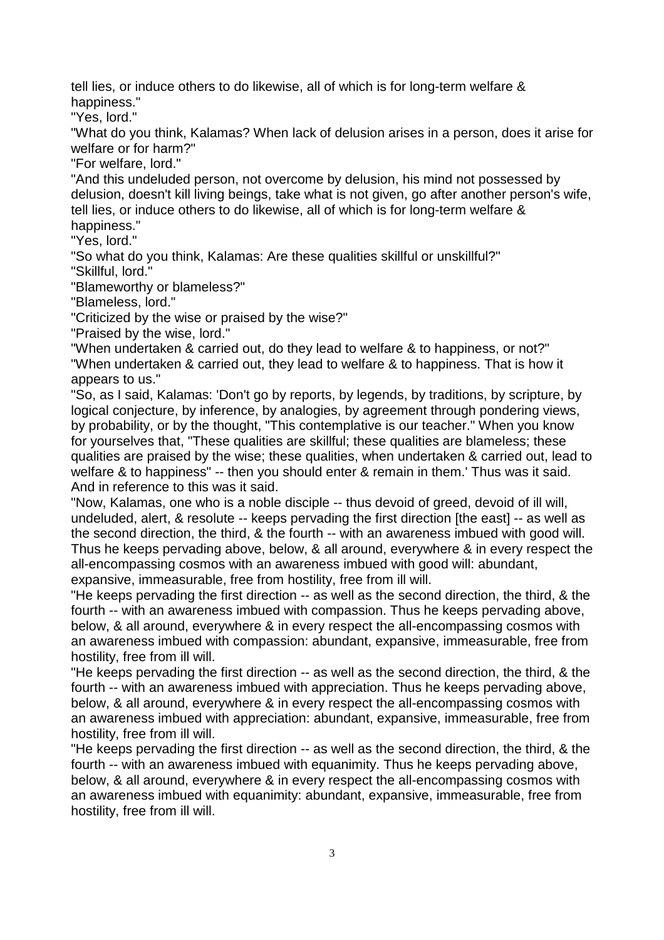tell lies, or induce others to do likewise, all of which is for long-term welfare & happiness."

"Yes, lord."

"What do you think, Kalamas? When lack of delusion arises in a person, does it arise for welfare or for harm?"

"For welfare, lord."

"And this undeluded person, not overcome by delusion, his mind not possessed by delusion, doesn't kill living beings, take what is not given, go after another person's wife, tell lies, or induce others to do likewise, all of which is for long-term welfare & happiness."

"Yes, lord."

"So what do you think, Kalamas: Are these qualities skillful or unskillful?"

"Skillful, lord."

"Blameworthy or blameless?"

"Blameless, lord."

"Criticized by the wise or praised by the wise?"

"Praised by the wise, lord."

"When undertaken & carried out, do they lead to welfare & to happiness, or not?" "When undertaken & carried out, they lead to welfare & to happiness. That is how it appears to us."

"So, as I said, Kalamas: 'Don't go by reports, by legends, by traditions, by scripture, by logical conjecture, by inference, by analogies, by agreement through pondering views, by probability, or by the thought, "This contemplative is our teacher." When you know for yourselves that, "These qualities are skillful; these qualities are blameless; these qualities are praised by the wise; these qualities, when undertaken & carried out, lead to welfare & to happiness" -- then you should enter & remain in them.' Thus was it said. And in reference to this was it said.

"Now, Kalamas, one who is a noble disciple -- thus devoid of greed, devoid of ill will, undeluded, alert, & resolute -- keeps pervading the first direction [the east] -- as well as the second direction, the third, & the fourth -- with an awareness imbued with good will. Thus he keeps pervading above, below, & all around, everywhere & in every respect the all-encompassing cosmos with an awareness imbued with good will: abundant, expansive, immeasurable, free from hostility, free from ill will.

"He keeps pervading the first direction -- as well as the second direction, the third, & the fourth -- with an awareness imbued with compassion. Thus he keeps pervading above, below, & all around, everywhere & in every respect the all-encompassing cosmos with an awareness imbued with compassion: abundant, expansive, immeasurable, free from hostility, free from ill will.

"He keeps pervading the first direction -- as well as the second direction, the third, & the fourth -- with an awareness imbued with appreciation. Thus he keeps pervading above, below, & all around, everywhere & in every respect the all-encompassing cosmos with an awareness imbued with appreciation: abundant, expansive, immeasurable, free from hostility, free from ill will.

"He keeps pervading the first direction -- as well as the second direction, the third, & the fourth -- with an awareness imbued with equanimity. Thus he keeps pervading above, below, & all around, everywhere & in every respect the all-encompassing cosmos with an awareness imbued with equanimity: abundant, expansive, immeasurable, free from hostility, free from ill will.